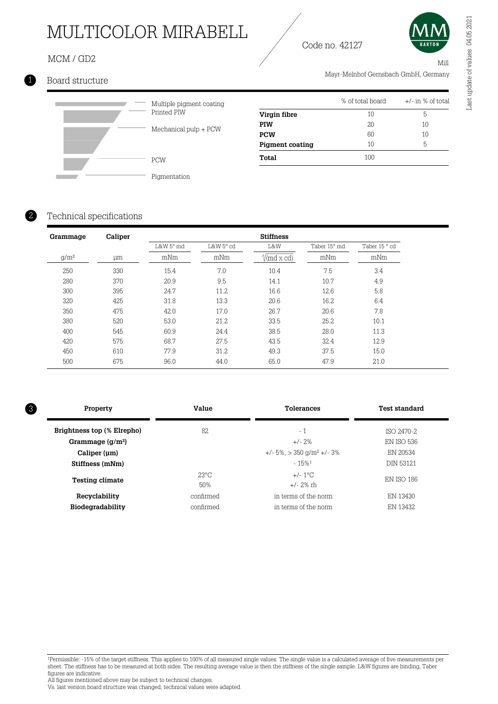## MULTICOLOR MIRABELL

## MCM / GD2

**I** 



Mill

Mayr-Melnhof Gernsbach GmbH, Germany

## 1 Board structure



| Multiple pigment coating<br>Printed PIW |
|-----------------------------------------|
| Mechanical pulp + PCW                   |
| <b>PCW</b>                              |

|                        | % of total board | $+/-$ in % of total |
|------------------------|------------------|---------------------|
| Virgin fibre           | 10               | 5                   |
| <b>PIW</b>             | 20               | 10                  |
| <b>PCW</b>             | 60               | 10                  |
| <b>Pigment coating</b> | 10               | 5                   |
| Total                  | 100              |                     |

Code no. 42127

#### Technical specifications

2

| Grammage | Caliper |           |           | <b>Stiffness</b>                         |              |              |
|----------|---------|-----------|-----------|------------------------------------------|--------------|--------------|
|          |         | L&W 5° md | L&W 5° cd | L&W                                      | Taber 15° md | Taber 15° cd |
| $g/m^2$  | μm      | mNm       | mNm       | $\mathcal{V}(\text{md}\times \text{cd})$ | mNm          | mNm          |
| 250      | 330     | 15.4      | 7.0       | 10.4                                     | 7.5          | 3.4          |
| 280      | 370     | 20.9      | 9.5       | 14.1                                     | 10.7         | 4.9          |
| 300      | 395     | 24.7      | 11.2      | 16.6                                     | 12.6         | 5.8          |
| 320      | 425     | 31.8      | 13.3      | 20.6                                     | 16.2         | 6.4          |
| 350      | 475     | 42.0      | 17.0      | 26.7                                     | 20.6         | 7.8          |
| 380      | 520     | 53.0      | 21.2      | 33.5                                     | 25.2         | 10.1         |
| 400      | 545     | 60.9      | 24.4      | 38.5                                     | 28.0         | 11.3         |
| 420      | 575     | 68.7      | 27.5      | 43.5                                     | 32.4         | 12.9         |
| 450      | 610     | 77.9      | 31.2      | 49.3                                     | 37.5         | 15.0         |
| 500      | 675     | 96.0      | 44.0      | 65.0                                     | 47.9         | 21.0         |

| Property |                            | Value          | <b>Tolerances</b>                              | <b>Test standard</b> |
|----------|----------------------------|----------------|------------------------------------------------|----------------------|
|          | Brightness top (% Elrepho) | 82             | $-1$                                           | ISO 2470-2           |
|          | Grammage $(g/m^2)$         |                | $+/- 2%$                                       | EN ISO 536           |
|          | Caliper (um)               |                | $+/- 5\%$ , $> 350$ g/m <sup>2</sup> $+/- 3\%$ | EN 20534             |
|          | Stiffness (mNm)            |                | $-15%1$                                        | <b>DIN 53121</b>     |
|          |                            | $23^{\circ}$ C | $+/- 1^{\circ}$ C                              | EN ISO 186           |
|          | <b>Testing climate</b>     | 50%            | $+/- 2\%$ rh                                   |                      |
|          | Recyclability              | confirmed      | in terms of the norm                           | EN 13430             |
|          | Biodegradability           | confirmed      | in terms of the norm                           | EN 13432             |

<sup>1</sup>Permissible: -15% of the target stiffness. This applies to 100% of all measured single values. The single value is a calculated average of five measurements per sheet. The stiffness has to be measured at both sides. The resulting average value is then the stiffness of the single sample. L&W figures are binding, Taber figures are indicative.

All figures mentioned above may be subject to technical changes.

Vs. last version board structure was changed, technical values were adapted.